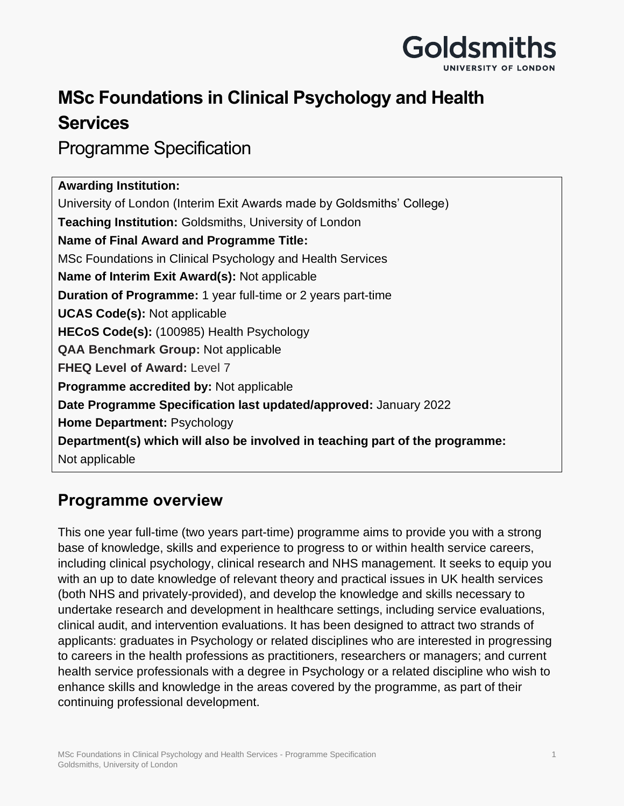

## **MSc Foundations in Clinical Psychology and Health Services**

Programme Specification

| <b>Awarding Institution:</b>                                                 |
|------------------------------------------------------------------------------|
| University of London (Interim Exit Awards made by Goldsmiths' College)       |
| <b>Teaching Institution: Goldsmiths, University of London</b>                |
| <b>Name of Final Award and Programme Title:</b>                              |
| MSc Foundations in Clinical Psychology and Health Services                   |
| Name of Interim Exit Award(s): Not applicable                                |
| <b>Duration of Programme: 1 year full-time or 2 years part-time</b>          |
| <b>UCAS Code(s): Not applicable</b>                                          |
| HECoS Code(s): (100985) Health Psychology                                    |
| <b>QAA Benchmark Group: Not applicable</b>                                   |
| <b>FHEQ Level of Award: Level 7</b>                                          |
| <b>Programme accredited by: Not applicable</b>                               |
| Date Programme Specification last updated/approved: January 2022             |
| <b>Home Department: Psychology</b>                                           |
| Department(s) which will also be involved in teaching part of the programme: |
| Not applicable                                                               |

## **Programme overview**

This one year full-time (two years part-time) programme aims to provide you with a strong base of knowledge, skills and experience to progress to or within health service careers, including clinical psychology, clinical research and NHS management. It seeks to equip you with an up to date knowledge of relevant theory and practical issues in UK health services (both NHS and privately-provided), and develop the knowledge and skills necessary to undertake research and development in healthcare settings, including service evaluations, clinical audit, and intervention evaluations. It has been designed to attract two strands of applicants: graduates in Psychology or related disciplines who are interested in progressing to careers in the health professions as practitioners, researchers or managers; and current health service professionals with a degree in Psychology or a related discipline who wish to enhance skills and knowledge in the areas covered by the programme, as part of their continuing professional development.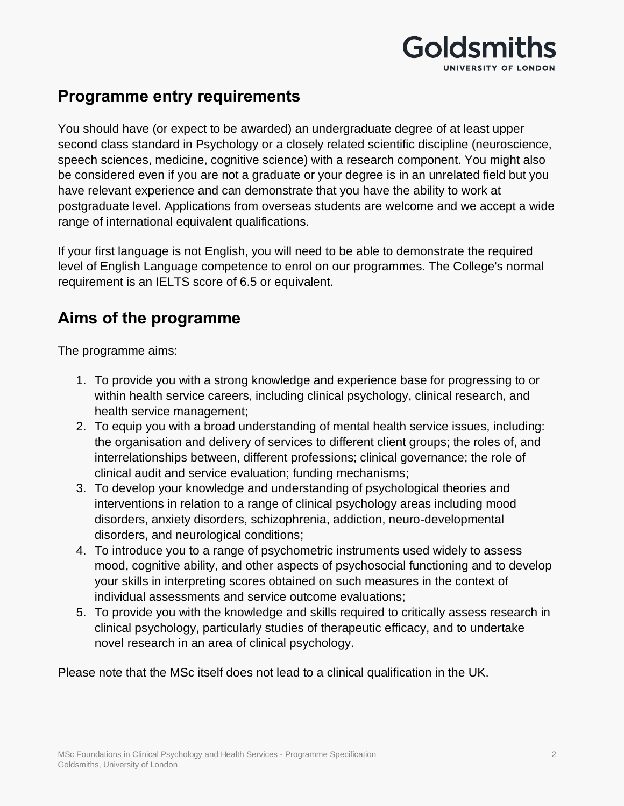

## **Programme entry requirements**

You should have (or expect to be awarded) an undergraduate degree of at least upper second class standard in Psychology or a closely related scientific discipline (neuroscience, speech sciences, medicine, cognitive science) with a research component. You might also be considered even if you are not a graduate or your degree is in an unrelated field but you have relevant experience and can demonstrate that you have the ability to work at postgraduate level. Applications from overseas students are welcome and we accept a wide range of international equivalent qualifications.

If your first language is not English, you will need to be able to demonstrate the required level of English Language competence to enrol on our programmes. The College's normal requirement is an IELTS score of 6.5 or equivalent.

## **Aims of the programme**

The programme aims:

- 1. To provide you with a strong knowledge and experience base for progressing to or within health service careers, including clinical psychology, clinical research, and health service management;
- 2. To equip you with a broad understanding of mental health service issues, including: the organisation and delivery of services to different client groups; the roles of, and interrelationships between, different professions; clinical governance; the role of clinical audit and service evaluation; funding mechanisms;
- 3. To develop your knowledge and understanding of psychological theories and interventions in relation to a range of clinical psychology areas including mood disorders, anxiety disorders, schizophrenia, addiction, neuro-developmental disorders, and neurological conditions;
- 4. To introduce you to a range of psychometric instruments used widely to assess mood, cognitive ability, and other aspects of psychosocial functioning and to develop your skills in interpreting scores obtained on such measures in the context of individual assessments and service outcome evaluations;
- 5. To provide you with the knowledge and skills required to critically assess research in clinical psychology, particularly studies of therapeutic efficacy, and to undertake novel research in an area of clinical psychology.

Please note that the MSc itself does not lead to a clinical qualification in the UK.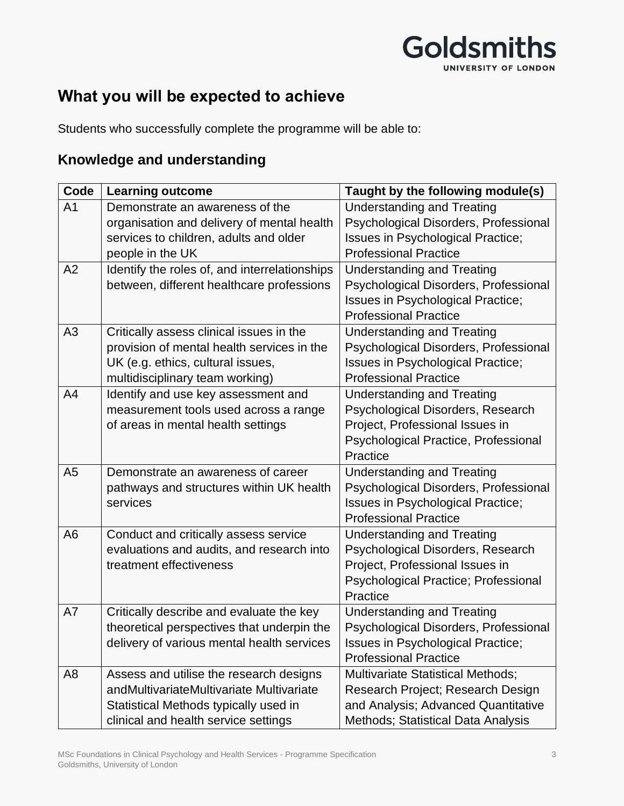## Goldsmiths UNIVERSITY OF LONDON

## **What you will be expected to achieve**

Students who successfully complete the programme will be able to:

### **Knowledge and understanding**

| Code           | <b>Learning outcome</b>                       | Taught by the following module(s)           |
|----------------|-----------------------------------------------|---------------------------------------------|
| A <sub>1</sub> | Demonstrate an awareness of the               | <b>Understanding and Treating</b>           |
|                | organisation and delivery of mental health    | Psychological Disorders, Professional       |
|                | services to children, adults and older        | Issues in Psychological Practice;           |
|                | people in the UK                              | <b>Professional Practice</b>                |
| A2             | Identify the roles of, and interrelationships | <b>Understanding and Treating</b>           |
|                | between, different healthcare professions     | Psychological Disorders, Professional       |
|                |                                               | Issues in Psychological Practice;           |
|                |                                               | <b>Professional Practice</b>                |
| A3             | Critically assess clinical issues in the      | <b>Understanding and Treating</b>           |
|                | provision of mental health services in the    | Psychological Disorders, Professional       |
|                | UK (e.g. ethics, cultural issues,             | Issues in Psychological Practice;           |
|                | multidisciplinary team working)               | <b>Professional Practice</b>                |
| A <sub>4</sub> | Identify and use key assessment and           | <b>Understanding and Treating</b>           |
|                | measurement tools used across a range         | Psychological Disorders, Research           |
|                | of areas in mental health settings            | Project, Professional Issues in             |
|                |                                               | Psychological Practice, Professional        |
|                |                                               | Practice                                    |
| A <sub>5</sub> | Demonstrate an awareness of career            | <b>Understanding and Treating</b>           |
|                | pathways and structures within UK health      | Psychological Disorders, Professional       |
|                | services                                      | Issues in Psychological Practice;           |
|                |                                               | <b>Professional Practice</b>                |
| A <sub>6</sub> | Conduct and critically assess service         | <b>Understanding and Treating</b>           |
|                | evaluations and audits, and research into     | Psychological Disorders, Research           |
|                | treatment effectiveness                       | Project, Professional Issues in             |
|                |                                               | <b>Psychological Practice; Professional</b> |
|                |                                               | Practice                                    |
| A7             | Critically describe and evaluate the key      | <b>Understanding and Treating</b>           |
|                | theoretical perspectives that underpin the    | Psychological Disorders, Professional       |
|                | delivery of various mental health services    | Issues in Psychological Practice;           |
|                |                                               | <b>Professional Practice</b>                |
| A <sub>8</sub> | Assess and utilise the research designs       | <b>Multivariate Statistical Methods;</b>    |
|                | andMultivariateMultivariate Multivariate      | Research Project; Research Design           |
|                | Statistical Methods typically used in         | and Analysis; Advanced Quantitative         |
|                | clinical and health service settings          | Methods; Statistical Data Analysis          |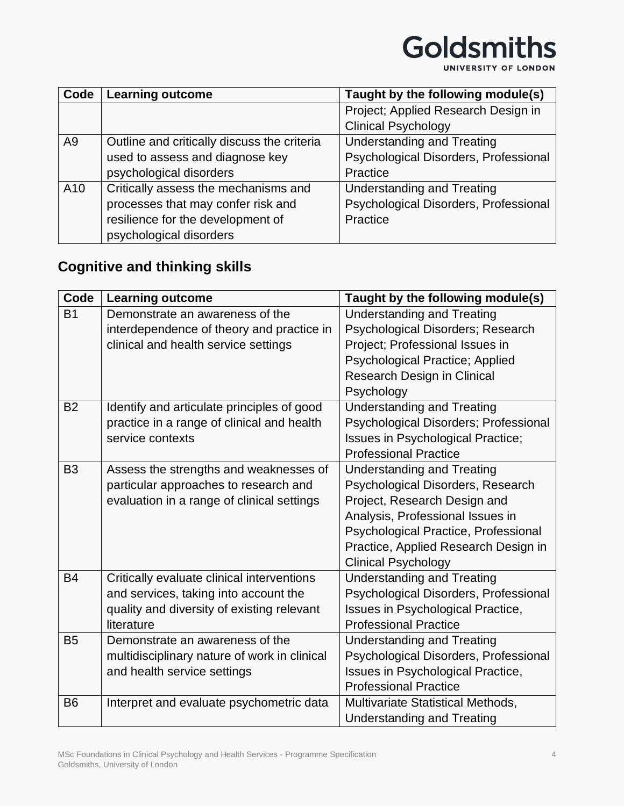UNIVERSITY OF LONDON

| Code           | <b>Learning outcome</b>                     | Taught by the following module(s)     |
|----------------|---------------------------------------------|---------------------------------------|
|                |                                             | Project; Applied Research Design in   |
|                |                                             | <b>Clinical Psychology</b>            |
| A <sub>9</sub> | Outline and critically discuss the criteria | <b>Understanding and Treating</b>     |
|                | used to assess and diagnose key             | Psychological Disorders, Professional |
|                | psychological disorders                     | Practice                              |
| A10            | Critically assess the mechanisms and        | <b>Understanding and Treating</b>     |
|                | processes that may confer risk and          | Psychological Disorders, Professional |
|                | resilience for the development of           | Practice                              |
|                | psychological disorders                     |                                       |

### **Cognitive and thinking skills**

| Code           | <b>Learning outcome</b>                      | Taught by the following module(s)      |
|----------------|----------------------------------------------|----------------------------------------|
| <b>B1</b>      | Demonstrate an awareness of the              | <b>Understanding and Treating</b>      |
|                | interdependence of theory and practice in    | Psychological Disorders; Research      |
|                | clinical and health service settings         | Project; Professional Issues in        |
|                |                                              | <b>Psychological Practice; Applied</b> |
|                |                                              | Research Design in Clinical            |
|                |                                              | Psychology                             |
| <b>B2</b>      | Identify and articulate principles of good   | <b>Understanding and Treating</b>      |
|                | practice in a range of clinical and health   | Psychological Disorders; Professional  |
|                | service contexts                             | Issues in Psychological Practice;      |
|                |                                              | <b>Professional Practice</b>           |
| B <sub>3</sub> | Assess the strengths and weaknesses of       | <b>Understanding and Treating</b>      |
|                | particular approaches to research and        | Psychological Disorders, Research      |
|                | evaluation in a range of clinical settings   | Project, Research Design and           |
|                |                                              | Analysis, Professional Issues in       |
|                |                                              | Psychological Practice, Professional   |
|                |                                              | Practice, Applied Research Design in   |
|                |                                              | <b>Clinical Psychology</b>             |
| <b>B4</b>      | Critically evaluate clinical interventions   | <b>Understanding and Treating</b>      |
|                | and services, taking into account the        | Psychological Disorders, Professional  |
|                | quality and diversity of existing relevant   | Issues in Psychological Practice,      |
|                | literature                                   | <b>Professional Practice</b>           |
| <b>B5</b>      | Demonstrate an awareness of the              | <b>Understanding and Treating</b>      |
|                | multidisciplinary nature of work in clinical | Psychological Disorders, Professional  |
|                | and health service settings                  | Issues in Psychological Practice,      |
|                |                                              | <b>Professional Practice</b>           |
| B <sub>6</sub> | Interpret and evaluate psychometric data     | Multivariate Statistical Methods,      |
|                |                                              | <b>Understanding and Treating</b>      |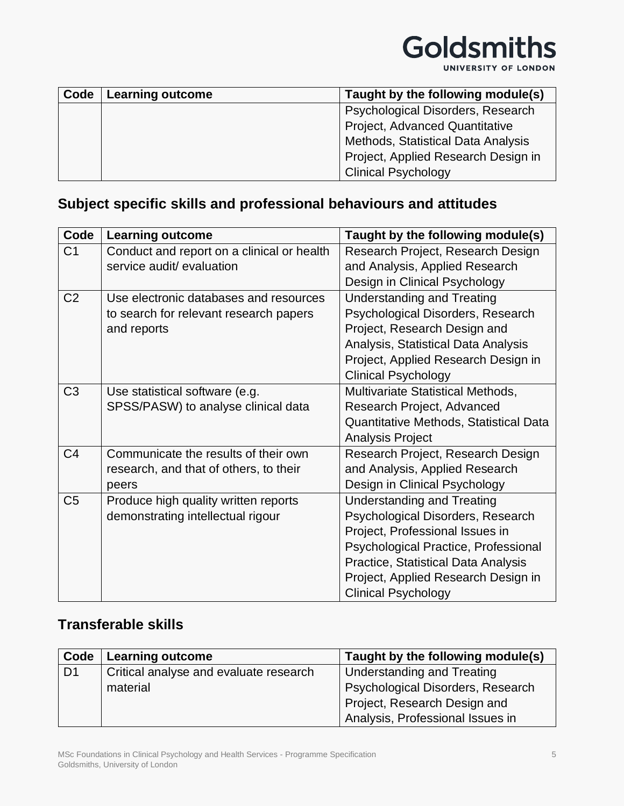

UNIVERSITY OF LONDON

| Code | <b>Learning outcome</b> | Taught by the following module(s)   |
|------|-------------------------|-------------------------------------|
|      |                         | Psychological Disorders, Research   |
|      |                         | Project, Advanced Quantitative      |
|      |                         | Methods, Statistical Data Analysis  |
|      |                         | Project, Applied Research Design in |
|      |                         | <b>Clinical Psychology</b>          |

### **Subject specific skills and professional behaviours and attitudes**

| Code           | <b>Learning outcome</b>                    | Taught by the following module(s)      |
|----------------|--------------------------------------------|----------------------------------------|
| C <sub>1</sub> | Conduct and report on a clinical or health | Research Project, Research Design      |
|                | service audit/ evaluation                  | and Analysis, Applied Research         |
|                |                                            | Design in Clinical Psychology          |
| C <sub>2</sub> | Use electronic databases and resources     | <b>Understanding and Treating</b>      |
|                | to search for relevant research papers     | Psychological Disorders, Research      |
|                | and reports                                | Project, Research Design and           |
|                |                                            | Analysis, Statistical Data Analysis    |
|                |                                            | Project, Applied Research Design in    |
|                |                                            | <b>Clinical Psychology</b>             |
| C <sub>3</sub> | Use statistical software (e.g.             | Multivariate Statistical Methods,      |
|                | SPSS/PASW) to analyse clinical data        | Research Project, Advanced             |
|                |                                            | Quantitative Methods, Statistical Data |
|                |                                            | <b>Analysis Project</b>                |
| C <sub>4</sub> | Communicate the results of their own       | Research Project, Research Design      |
|                | research, and that of others, to their     | and Analysis, Applied Research         |
|                | peers                                      | Design in Clinical Psychology          |
| C <sub>5</sub> | Produce high quality written reports       | <b>Understanding and Treating</b>      |
|                | demonstrating intellectual rigour          | Psychological Disorders, Research      |
|                |                                            | Project, Professional Issues in        |
|                |                                            | Psychological Practice, Professional   |
|                |                                            | Practice, Statistical Data Analysis    |
|                |                                            | Project, Applied Research Design in    |
|                |                                            | <b>Clinical Psychology</b>             |

#### **Transferable skills**

| Code           | <b>Learning outcome</b>                | Taught by the following module(s) |
|----------------|----------------------------------------|-----------------------------------|
| D <sub>1</sub> | Critical analyse and evaluate research | Understanding and Treating        |
|                | material                               | Psychological Disorders, Research |
|                |                                        | Project, Research Design and      |
|                |                                        | Analysis, Professional Issues in  |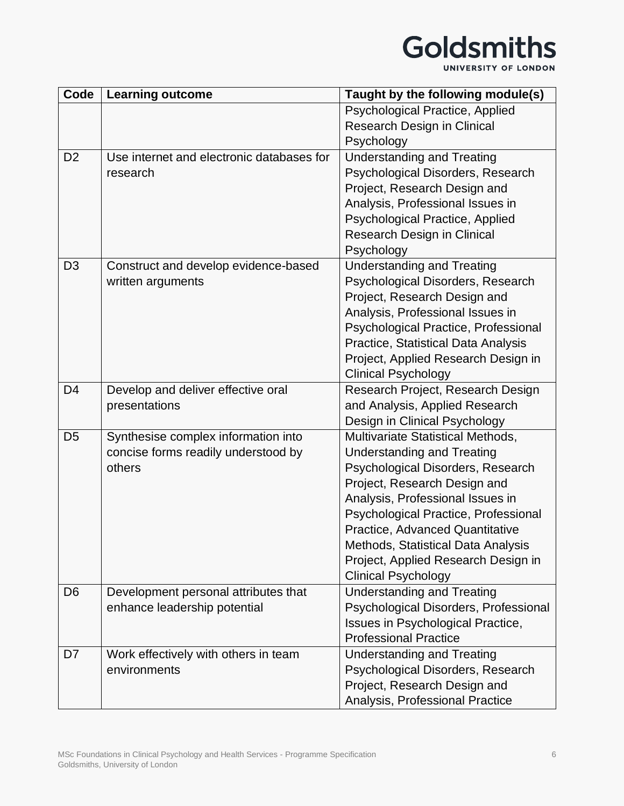UNIVERSITY OF LONDON

| Code           | <b>Learning outcome</b>                   | Taught by the following module(s)      |
|----------------|-------------------------------------------|----------------------------------------|
|                |                                           | Psychological Practice, Applied        |
|                |                                           | Research Design in Clinical            |
|                |                                           | Psychology                             |
| D <sub>2</sub> | Use internet and electronic databases for | <b>Understanding and Treating</b>      |
|                | research                                  | Psychological Disorders, Research      |
|                |                                           | Project, Research Design and           |
|                |                                           | Analysis, Professional Issues in       |
|                |                                           | <b>Psychological Practice, Applied</b> |
|                |                                           | Research Design in Clinical            |
|                |                                           | Psychology                             |
| D <sub>3</sub> | Construct and develop evidence-based      | <b>Understanding and Treating</b>      |
|                | written arguments                         | Psychological Disorders, Research      |
|                |                                           | Project, Research Design and           |
|                |                                           | Analysis, Professional Issues in       |
|                |                                           | Psychological Practice, Professional   |
|                |                                           | Practice, Statistical Data Analysis    |
|                |                                           | Project, Applied Research Design in    |
|                |                                           | <b>Clinical Psychology</b>             |
| D <sub>4</sub> | Develop and deliver effective oral        | Research Project, Research Design      |
|                | presentations                             | and Analysis, Applied Research         |
|                |                                           | Design in Clinical Psychology          |
| D <sub>5</sub> | Synthesise complex information into       | Multivariate Statistical Methods,      |
|                | concise forms readily understood by       | <b>Understanding and Treating</b>      |
|                | others                                    | Psychological Disorders, Research      |
|                |                                           | Project, Research Design and           |
|                |                                           | Analysis, Professional Issues in       |
|                |                                           | Psychological Practice, Professional   |
|                |                                           | Practice, Advanced Quantitative        |
|                |                                           | Methods, Statistical Data Analysis     |
|                |                                           | Project, Applied Research Design in    |
|                |                                           | <b>Clinical Psychology</b>             |
| D <sub>6</sub> | Development personal attributes that      | <b>Understanding and Treating</b>      |
|                | enhance leadership potential              | Psychological Disorders, Professional  |
|                |                                           | Issues in Psychological Practice,      |
|                |                                           | <b>Professional Practice</b>           |
| D7             | Work effectively with others in team      | <b>Understanding and Treating</b>      |
|                | environments                              | Psychological Disorders, Research      |
|                |                                           | Project, Research Design and           |
|                |                                           | Analysis, Professional Practice        |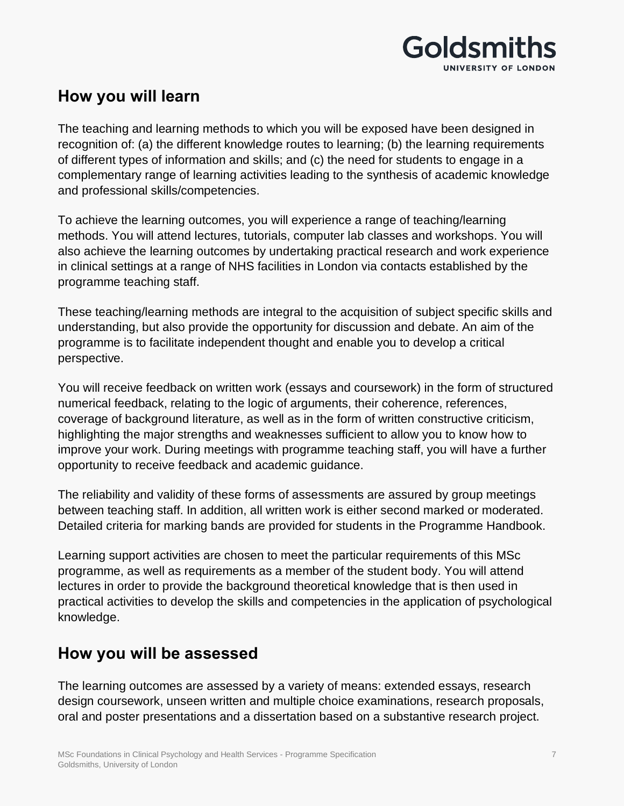

#### **How you will learn**

The teaching and learning methods to which you will be exposed have been designed in recognition of: (a) the different knowledge routes to learning; (b) the learning requirements of different types of information and skills; and (c) the need for students to engage in a complementary range of learning activities leading to the synthesis of academic knowledge and professional skills/competencies.

To achieve the learning outcomes, you will experience a range of teaching/learning methods. You will attend lectures, tutorials, computer lab classes and workshops. You will also achieve the learning outcomes by undertaking practical research and work experience in clinical settings at a range of NHS facilities in London via contacts established by the programme teaching staff.

These teaching/learning methods are integral to the acquisition of subject specific skills and understanding, but also provide the opportunity for discussion and debate. An aim of the programme is to facilitate independent thought and enable you to develop a critical perspective.

You will receive feedback on written work (essays and coursework) in the form of structured numerical feedback, relating to the logic of arguments, their coherence, references, coverage of background literature, as well as in the form of written constructive criticism, highlighting the major strengths and weaknesses sufficient to allow you to know how to improve your work. During meetings with programme teaching staff, you will have a further opportunity to receive feedback and academic guidance.

The reliability and validity of these forms of assessments are assured by group meetings between teaching staff. In addition, all written work is either second marked or moderated. Detailed criteria for marking bands are provided for students in the Programme Handbook.

Learning support activities are chosen to meet the particular requirements of this MSc programme, as well as requirements as a member of the student body. You will attend lectures in order to provide the background theoretical knowledge that is then used in practical activities to develop the skills and competencies in the application of psychological knowledge.

### **How you will be assessed**

The learning outcomes are assessed by a variety of means: extended essays, research design coursework, unseen written and multiple choice examinations, research proposals, oral and poster presentations and a dissertation based on a substantive research project.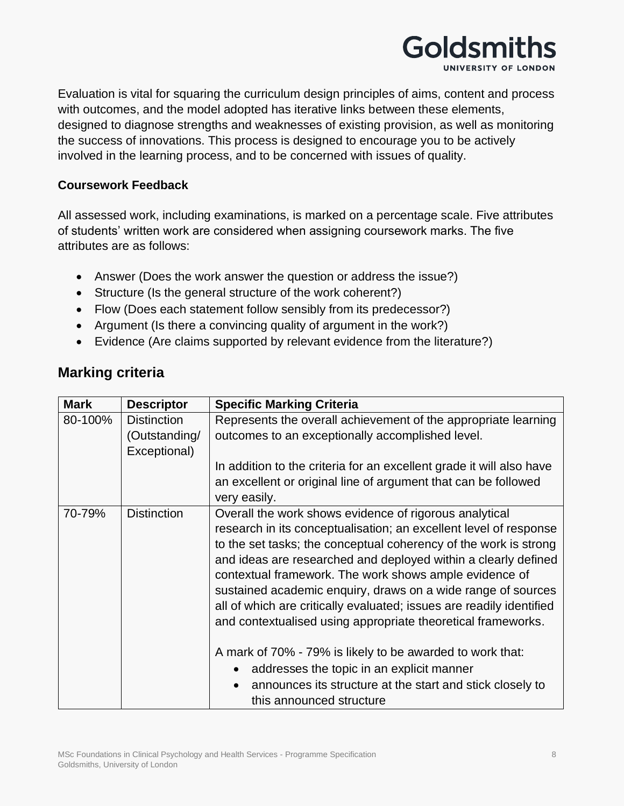

Evaluation is vital for squaring the curriculum design principles of aims, content and process with outcomes, and the model adopted has iterative links between these elements, designed to diagnose strengths and weaknesses of existing provision, as well as monitoring the success of innovations. This process is designed to encourage you to be actively involved in the learning process, and to be concerned with issues of quality.

#### **Coursework Feedback**

All assessed work, including examinations, is marked on a percentage scale. Five attributes of students' written work are considered when assigning coursework marks. The five attributes are as follows:

- Answer (Does the work answer the question or address the issue?)
- Structure (Is the general structure of the work coherent?)
- Flow (Does each statement follow sensibly from its predecessor?)
- Argument (Is there a convincing quality of argument in the work?)
- Evidence (Are claims supported by relevant evidence from the literature?)

| <b>Mark</b> | <b>Descriptor</b>                                   | <b>Specific Marking Criteria</b>                                                                                                                                                                                                                                                                                                                                                                                                                                                                                                                                                                                                                                                                                                                    |
|-------------|-----------------------------------------------------|-----------------------------------------------------------------------------------------------------------------------------------------------------------------------------------------------------------------------------------------------------------------------------------------------------------------------------------------------------------------------------------------------------------------------------------------------------------------------------------------------------------------------------------------------------------------------------------------------------------------------------------------------------------------------------------------------------------------------------------------------------|
| 80-100%     | <b>Distinction</b><br>(Outstanding/<br>Exceptional) | Represents the overall achievement of the appropriate learning<br>outcomes to an exceptionally accomplished level.                                                                                                                                                                                                                                                                                                                                                                                                                                                                                                                                                                                                                                  |
|             |                                                     | In addition to the criteria for an excellent grade it will also have<br>an excellent or original line of argument that can be followed<br>very easily.                                                                                                                                                                                                                                                                                                                                                                                                                                                                                                                                                                                              |
| 70-79%      | <b>Distinction</b>                                  | Overall the work shows evidence of rigorous analytical<br>research in its conceptualisation; an excellent level of response<br>to the set tasks; the conceptual coherency of the work is strong<br>and ideas are researched and deployed within a clearly defined<br>contextual framework. The work shows ample evidence of<br>sustained academic enquiry, draws on a wide range of sources<br>all of which are critically evaluated; issues are readily identified<br>and contextualised using appropriate theoretical frameworks.<br>A mark of 70% - 79% is likely to be awarded to work that:<br>addresses the topic in an explicit manner<br>announces its structure at the start and stick closely to<br>$\bullet$<br>this announced structure |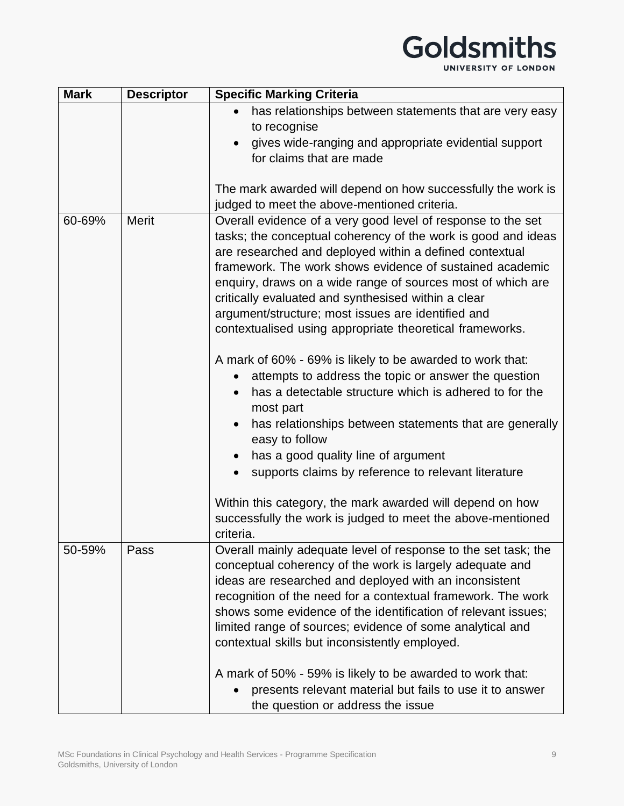UNIVERSITY OF LONDON

| <b>Mark</b> | <b>Descriptor</b> | <b>Specific Marking Criteria</b>                                                                                                                                                                                                                                                                                                                                                                                                                                                                                                                                                                   |
|-------------|-------------------|----------------------------------------------------------------------------------------------------------------------------------------------------------------------------------------------------------------------------------------------------------------------------------------------------------------------------------------------------------------------------------------------------------------------------------------------------------------------------------------------------------------------------------------------------------------------------------------------------|
|             |                   | has relationships between statements that are very easy                                                                                                                                                                                                                                                                                                                                                                                                                                                                                                                                            |
|             |                   | to recognise                                                                                                                                                                                                                                                                                                                                                                                                                                                                                                                                                                                       |
|             |                   | gives wide-ranging and appropriate evidential support                                                                                                                                                                                                                                                                                                                                                                                                                                                                                                                                              |
|             |                   | for claims that are made                                                                                                                                                                                                                                                                                                                                                                                                                                                                                                                                                                           |
|             |                   |                                                                                                                                                                                                                                                                                                                                                                                                                                                                                                                                                                                                    |
|             |                   | The mark awarded will depend on how successfully the work is                                                                                                                                                                                                                                                                                                                                                                                                                                                                                                                                       |
|             |                   | judged to meet the above-mentioned criteria.                                                                                                                                                                                                                                                                                                                                                                                                                                                                                                                                                       |
| 60-69%      | <b>Merit</b>      | Overall evidence of a very good level of response to the set<br>tasks; the conceptual coherency of the work is good and ideas<br>are researched and deployed within a defined contextual<br>framework. The work shows evidence of sustained academic<br>enquiry, draws on a wide range of sources most of which are<br>critically evaluated and synthesised within a clear<br>argument/structure; most issues are identified and<br>contextualised using appropriate theoretical frameworks.                                                                                                       |
|             |                   |                                                                                                                                                                                                                                                                                                                                                                                                                                                                                                                                                                                                    |
|             |                   | A mark of 60% - 69% is likely to be awarded to work that:<br>attempts to address the topic or answer the question<br>$\bullet$<br>has a detectable structure which is adhered to for the<br>most part<br>has relationships between statements that are generally<br>easy to follow<br>has a good quality line of argument<br>$\bullet$<br>supports claims by reference to relevant literature<br>$\bullet$<br>Within this category, the mark awarded will depend on how<br>successfully the work is judged to meet the above-mentioned<br>criteria.                                                |
| 50-59%      | Pass              | Overall mainly adequate level of response to the set task; the<br>conceptual coherency of the work is largely adequate and<br>ideas are researched and deployed with an inconsistent<br>recognition of the need for a contextual framework. The work<br>shows some evidence of the identification of relevant issues;<br>limited range of sources; evidence of some analytical and<br>contextual skills but inconsistently employed.<br>A mark of 50% - 59% is likely to be awarded to work that:<br>presents relevant material but fails to use it to answer<br>the question or address the issue |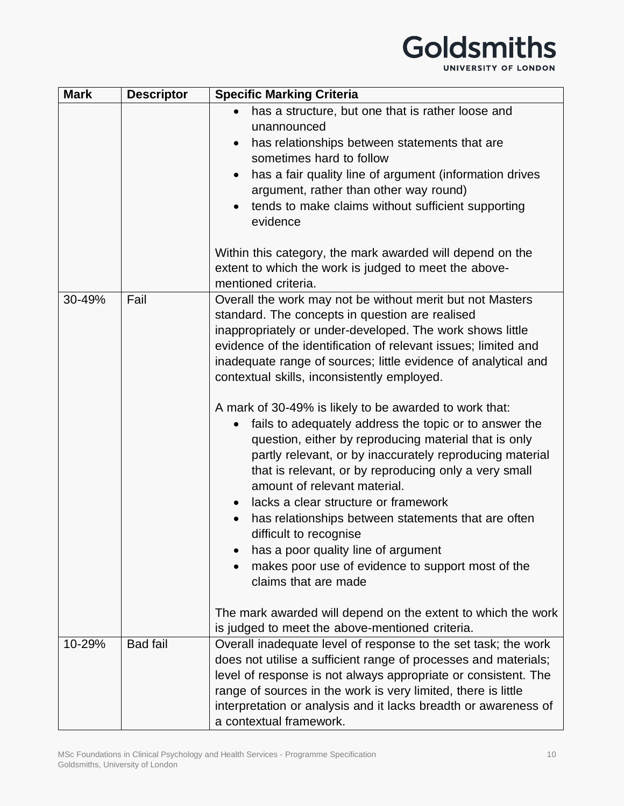## Goldsmiths UNIVERSITY OF LONDON

| <b>Mark</b> | <b>Descriptor</b> | <b>Specific Marking Criteria</b>                                                                                                                                                                                                                                                                                                                                                                                                                                                                                                                                                                                                                                                                                                                                                                                                                                                                                                                         |
|-------------|-------------------|----------------------------------------------------------------------------------------------------------------------------------------------------------------------------------------------------------------------------------------------------------------------------------------------------------------------------------------------------------------------------------------------------------------------------------------------------------------------------------------------------------------------------------------------------------------------------------------------------------------------------------------------------------------------------------------------------------------------------------------------------------------------------------------------------------------------------------------------------------------------------------------------------------------------------------------------------------|
|             |                   | has a structure, but one that is rather loose and<br>unannounced                                                                                                                                                                                                                                                                                                                                                                                                                                                                                                                                                                                                                                                                                                                                                                                                                                                                                         |
|             |                   | has relationships between statements that are<br>$\bullet$<br>sometimes hard to follow                                                                                                                                                                                                                                                                                                                                                                                                                                                                                                                                                                                                                                                                                                                                                                                                                                                                   |
|             |                   | has a fair quality line of argument (information drives<br>argument, rather than other way round)                                                                                                                                                                                                                                                                                                                                                                                                                                                                                                                                                                                                                                                                                                                                                                                                                                                        |
|             |                   | tends to make claims without sufficient supporting<br>evidence                                                                                                                                                                                                                                                                                                                                                                                                                                                                                                                                                                                                                                                                                                                                                                                                                                                                                           |
|             |                   | Within this category, the mark awarded will depend on the<br>extent to which the work is judged to meet the above-<br>mentioned criteria.                                                                                                                                                                                                                                                                                                                                                                                                                                                                                                                                                                                                                                                                                                                                                                                                                |
| 30-49%      | Fail              | Overall the work may not be without merit but not Masters<br>standard. The concepts in question are realised<br>inappropriately or under-developed. The work shows little<br>evidence of the identification of relevant issues; limited and<br>inadequate range of sources; little evidence of analytical and<br>contextual skills, inconsistently employed.<br>A mark of 30-49% is likely to be awarded to work that:<br>fails to adequately address the topic or to answer the<br>$\bullet$<br>question, either by reproducing material that is only<br>partly relevant, or by inaccurately reproducing material<br>that is relevant, or by reproducing only a very small<br>amount of relevant material.<br>lacks a clear structure or framework<br>has relationships between statements that are often<br>difficult to recognise<br>has a poor quality line of argument<br>makes poor use of evidence to support most of the<br>claims that are made |
|             |                   | The mark awarded will depend on the extent to which the work<br>is judged to meet the above-mentioned criteria.                                                                                                                                                                                                                                                                                                                                                                                                                                                                                                                                                                                                                                                                                                                                                                                                                                          |
| 10-29%      | <b>Bad fail</b>   | Overall inadequate level of response to the set task; the work<br>does not utilise a sufficient range of processes and materials;<br>level of response is not always appropriate or consistent. The<br>range of sources in the work is very limited, there is little<br>interpretation or analysis and it lacks breadth or awareness of<br>a contextual framework.                                                                                                                                                                                                                                                                                                                                                                                                                                                                                                                                                                                       |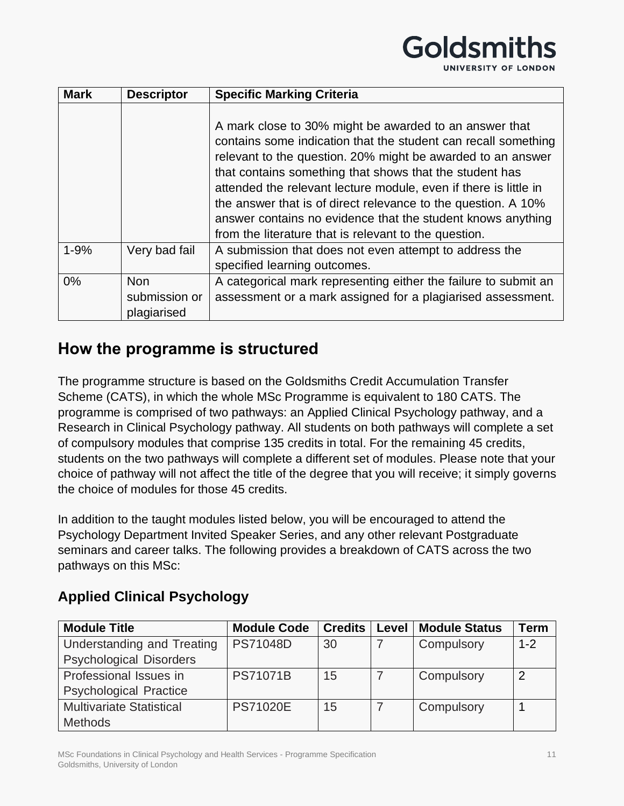|  |  |  |  |  |  |  |  |  |  |  |  | UNIVERSITY OF LONDON |  |  |  |  |  |  |  |  |  |
|--|--|--|--|--|--|--|--|--|--|--|--|----------------------|--|--|--|--|--|--|--|--|--|
|--|--|--|--|--|--|--|--|--|--|--|--|----------------------|--|--|--|--|--|--|--|--|--|

| <b>Mark</b> | <b>Descriptor</b> | <b>Specific Marking Criteria</b>                                                                                                                                                                                                                                                                                                                                                                                                                                                                                |
|-------------|-------------------|-----------------------------------------------------------------------------------------------------------------------------------------------------------------------------------------------------------------------------------------------------------------------------------------------------------------------------------------------------------------------------------------------------------------------------------------------------------------------------------------------------------------|
|             |                   | A mark close to 30% might be awarded to an answer that<br>contains some indication that the student can recall something<br>relevant to the question. 20% might be awarded to an answer<br>that contains something that shows that the student has<br>attended the relevant lecture module, even if there is little in<br>the answer that is of direct relevance to the question. A 10%<br>answer contains no evidence that the student knows anything<br>from the literature that is relevant to the question. |
| $1 - 9%$    | Very bad fail     | A submission that does not even attempt to address the<br>specified learning outcomes.                                                                                                                                                                                                                                                                                                                                                                                                                          |
| 0%          | Non.              | A categorical mark representing either the failure to submit an                                                                                                                                                                                                                                                                                                                                                                                                                                                 |
|             | submission or     | assessment or a mark assigned for a plagiarised assessment.                                                                                                                                                                                                                                                                                                                                                                                                                                                     |
|             | plagiarised       |                                                                                                                                                                                                                                                                                                                                                                                                                                                                                                                 |

#### **How the programme is structured**

The programme structure is based on the Goldsmiths Credit Accumulation Transfer Scheme (CATS), in which the whole MSc Programme is equivalent to 180 CATS. The programme is comprised of two pathways: an Applied Clinical Psychology pathway, and a Research in Clinical Psychology pathway. All students on both pathways will complete a set of compulsory modules that comprise 135 credits in total. For the remaining 45 credits, students on the two pathways will complete a different set of modules. Please note that your choice of pathway will not affect the title of the degree that you will receive; it simply governs the choice of modules for those 45 credits.

In addition to the taught modules listed below, you will be encouraged to attend the Psychology Department Invited Speaker Series, and any other relevant Postgraduate seminars and career talks. The following provides a breakdown of CATS across the two pathways on this MSc:

#### **Applied Clinical Psychology**

| <b>Module Title</b>             | <b>Module Code</b> | <b>Credits</b> | Level | <b>Module Status</b> | <b>Term</b> |
|---------------------------------|--------------------|----------------|-------|----------------------|-------------|
| Understanding and Treating      | <b>PS71048D</b>    | 30             |       | Compulsory           | $1 - 2$     |
| <b>Psychological Disorders</b>  |                    |                |       |                      |             |
| Professional Issues in          | <b>PS71071B</b>    | 15             |       | Compulsory           | 2           |
| <b>Psychological Practice</b>   |                    |                |       |                      |             |
| <b>Multivariate Statistical</b> | <b>PS71020E</b>    | 15             |       | Compulsory           |             |
| <b>Methods</b>                  |                    |                |       |                      |             |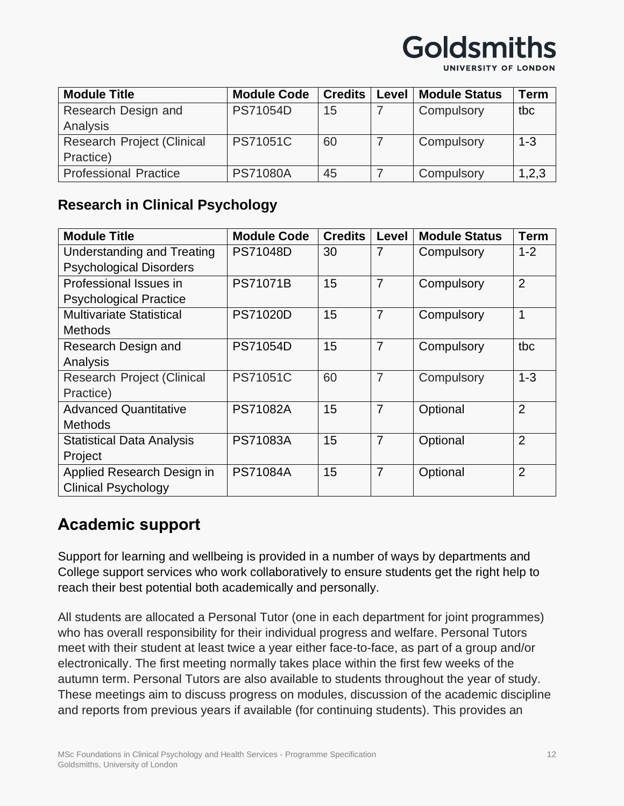

UNIVERSITY OF LONDON

| <b>Module Title</b>               | <b>Module Code</b> | <b>Credits</b> | Level | <b>Module Status</b> | Term    |
|-----------------------------------|--------------------|----------------|-------|----------------------|---------|
| Research Design and               | <b>PS71054D</b>    | 15             |       | Compulsory           | tbc     |
| Analysis                          |                    |                |       |                      |         |
| <b>Research Project (Clinical</b> | PS71051C           | 60             |       | Compulsory           | $1 - 3$ |
| Practice)                         |                    |                |       |                      |         |
| <b>Professional Practice</b>      | <b>PS71080A</b>    | 45             |       | Compulsory           | 1,2,3   |

#### **Research in Clinical Psychology**

| <b>Module Title</b>               | <b>Module Code</b> | <b>Credits</b> | Level          | <b>Module Status</b> | <b>Term</b>    |
|-----------------------------------|--------------------|----------------|----------------|----------------------|----------------|
| Understanding and Treating        | <b>PS71048D</b>    | 30             | $\overline{7}$ | Compulsory           | $1 - 2$        |
| <b>Psychological Disorders</b>    |                    |                |                |                      |                |
| Professional Issues in            | <b>PS71071B</b>    | 15             | $\overline{7}$ | Compulsory           | $\overline{2}$ |
| <b>Psychological Practice</b>     |                    |                |                |                      |                |
| <b>Multivariate Statistical</b>   | <b>PS71020D</b>    | 15             | $\overline{7}$ | Compulsory           | 1              |
| <b>Methods</b>                    |                    |                |                |                      |                |
| Research Design and               | <b>PS71054D</b>    | 15             | $\overline{7}$ | Compulsory           | tbc            |
| Analysis                          |                    |                |                |                      |                |
| <b>Research Project (Clinical</b> | <b>PS71051C</b>    | 60             | $\overline{7}$ | Compulsory           | $1 - 3$        |
| Practice)                         |                    |                |                |                      |                |
| <b>Advanced Quantitative</b>      | <b>PS71082A</b>    | 15             | $\overline{7}$ | Optional             | $\overline{2}$ |
| <b>Methods</b>                    |                    |                |                |                      |                |
| <b>Statistical Data Analysis</b>  | <b>PS71083A</b>    | 15             | $\overline{7}$ | Optional             | $\overline{2}$ |
| Project                           |                    |                |                |                      |                |
| Applied Research Design in        | <b>PS71084A</b>    | 15             | $\overline{7}$ | Optional             | $\overline{2}$ |
| <b>Clinical Psychology</b>        |                    |                |                |                      |                |

## **Academic support**

Support for learning and wellbeing is provided in a number of ways by departments and College support services who work collaboratively to ensure students get the right help to reach their best potential both academically and personally.

All students are allocated a Personal Tutor (one in each department for joint programmes) who has overall responsibility for their individual progress and welfare. Personal Tutors meet with their student at least twice a year either face-to-face, as part of a group and/or electronically. The first meeting normally takes place within the first few weeks of the autumn term. Personal Tutors are also available to students throughout the year of study. These meetings aim to discuss progress on modules, discussion of the academic discipline and reports from previous years if available (for continuing students). This provides an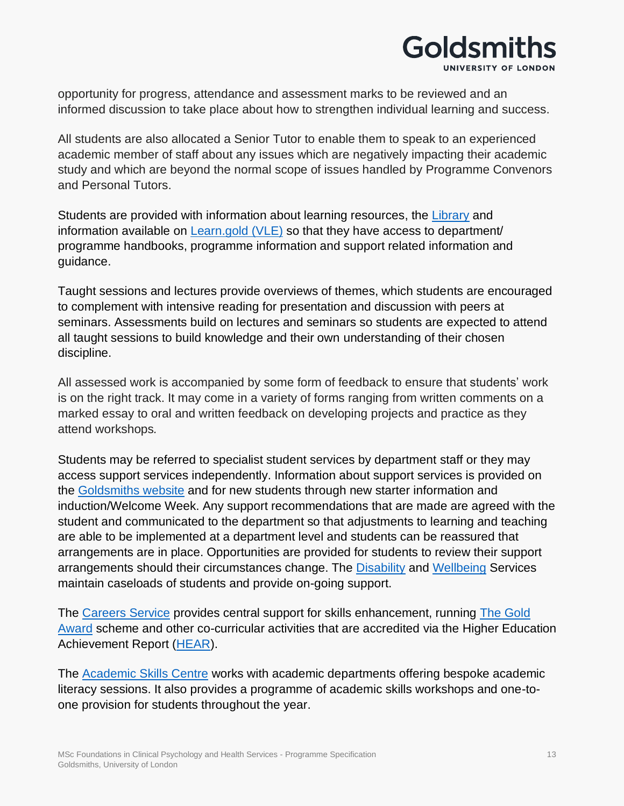## **Goldsmiths** UNIVERSITY OF LONDON

opportunity for progress, attendance and assessment marks to be reviewed and an informed discussion to take place about how to strengthen individual learning and success.

All students are also allocated a Senior Tutor to enable them to speak to an experienced academic member of staff about any issues which are negatively impacting their academic study and which are beyond the normal scope of issues handled by Programme Convenors and Personal Tutors.

Students are provided with information about learning resources, the [Library](https://www.gold.ac.uk/library/) and information available on [Learn.gold \(VLE\)](https://learn.gold.ac.uk/) so that they have access to department/ programme handbooks, programme information and support related information and guidance.

Taught sessions and lectures provide overviews of themes, which students are encouraged to complement with intensive reading for presentation and discussion with peers at seminars. Assessments build on lectures and seminars so students are expected to attend all taught sessions to build knowledge and their own understanding of their chosen discipline.

All assessed work is accompanied by some form of feedback to ensure that students' work is on the right track. It may come in a variety of forms ranging from written comments on a marked essay to oral and written feedback on developing projects and practice as they attend workshops*.*

Students may be referred to specialist student services by department staff or they may access support services independently. Information about support services is provided on the [Goldsmiths website](https://www.gold.ac.uk/students/) and for new students through new starter information and induction/Welcome Week. Any support recommendations that are made are agreed with the student and communicated to the department so that adjustments to learning and teaching are able to be implemented at a department level and students can be reassured that arrangements are in place. Opportunities are provided for students to review their support arrangements should their circumstances change. The [Disability](https://www.gold.ac.uk/students/disability-support/) and [Wellbeing](https://www.gold.ac.uk/students/wellbeing/) Services maintain caseloads of students and provide on-going support.

The [Careers Service](https://www.gold.ac.uk/careers/) provides central support for skills enhancement, running [The Gold](https://www.gold.ac.uk/students/gold-award/)  [Award](https://www.gold.ac.uk/students/gold-award/) scheme and other co-curricular activities that are accredited via the Higher Education Achievement Report [\(HEAR\)](https://www.gold.ac.uk/hear/).

The [Academic Skills Centre](https://www.gold.ac.uk/asc/) works with academic departments offering bespoke academic literacy sessions. It also provides a programme of academic skills workshops and one-toone provision for students throughout the year.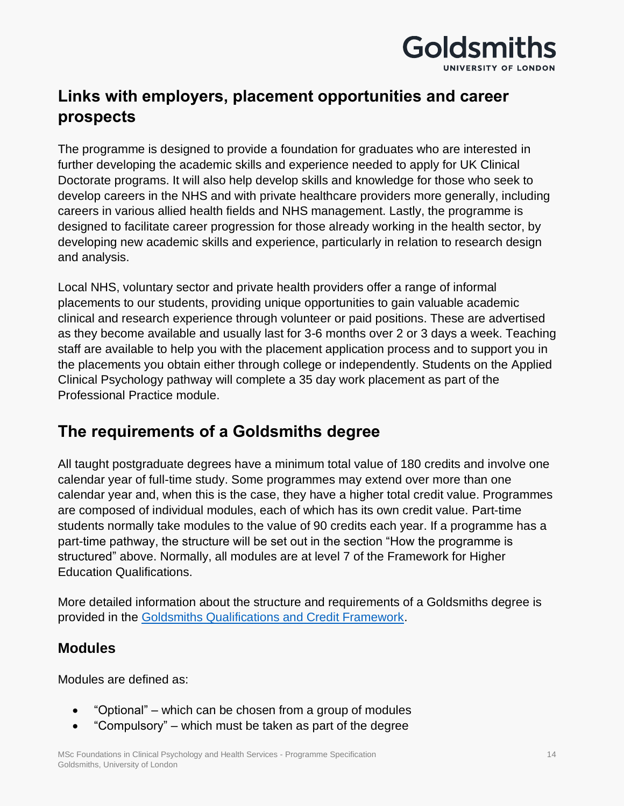

## **Links with employers, placement opportunities and career prospects**

The programme is designed to provide a foundation for graduates who are interested in further developing the academic skills and experience needed to apply for UK Clinical Doctorate programs. It will also help develop skills and knowledge for those who seek to develop careers in the NHS and with private healthcare providers more generally, including careers in various allied health fields and NHS management. Lastly, the programme is designed to facilitate career progression for those already working in the health sector, by developing new academic skills and experience, particularly in relation to research design and analysis.

Local NHS, voluntary sector and private health providers offer a range of informal placements to our students, providing unique opportunities to gain valuable academic clinical and research experience through volunteer or paid positions. These are advertised as they become available and usually last for 3-6 months over 2 or 3 days a week. Teaching staff are available to help you with the placement application process and to support you in the placements you obtain either through college or independently. Students on the Applied Clinical Psychology pathway will complete a 35 day work placement as part of the Professional Practice module.

### **The requirements of a Goldsmiths degree**

All taught postgraduate degrees have a minimum total value of 180 credits and involve one calendar year of full-time study. Some programmes may extend over more than one calendar year and, when this is the case, they have a higher total credit value. Programmes are composed of individual modules, each of which has its own credit value. Part-time students normally take modules to the value of 90 credits each year. If a programme has a part-time pathway, the structure will be set out in the section "How the programme is structured" above. Normally, all modules are at level 7 of the Framework for Higher Education Qualifications.

More detailed information about the structure and requirements of a Goldsmiths degree is provided in the [Goldsmiths Qualifications and Credit Framework.](https://www.gold.ac.uk/media/docs/gam/Qualifications-and-Credit-Framework.pdf)

#### **Modules**

Modules are defined as:

- "Optional" which can be chosen from a group of modules
- "Compulsory" which must be taken as part of the degree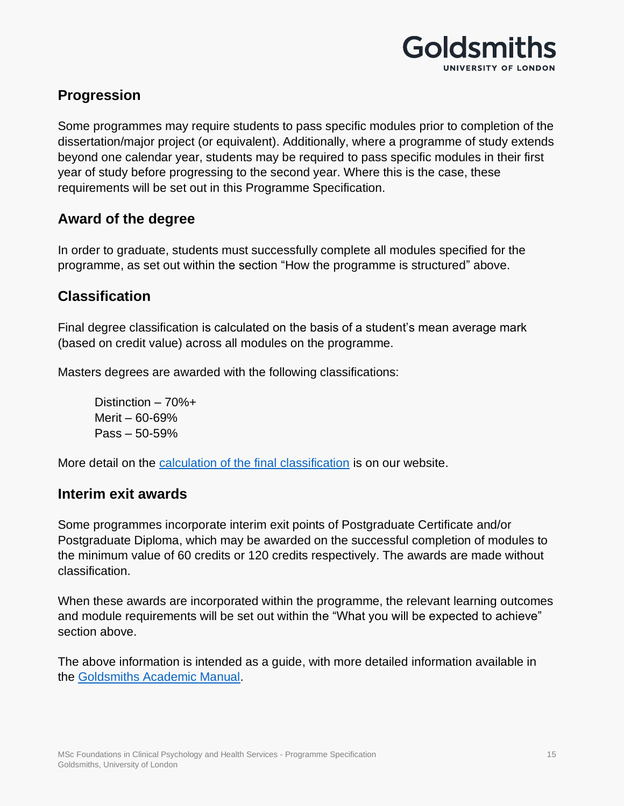

#### **Progression**

Some programmes may require students to pass specific modules prior to completion of the dissertation/major project (or equivalent). Additionally, where a programme of study extends beyond one calendar year, students may be required to pass specific modules in their first year of study before progressing to the second year. Where this is the case, these requirements will be set out in this Programme Specification.

#### **Award of the degree**

In order to graduate, students must successfully complete all modules specified for the programme, as set out within the section "How the programme is structured" above.

#### **Classification**

Final degree classification is calculated on the basis of a student's mean average mark (based on credit value) across all modules on the programme.

Masters degrees are awarded with the following classifications:

Distinction – 70%+ Merit – 60-69% Pass – 50-59%

More detail on the [calculation of the final classification](https://www.gold.ac.uk/media/docs/gam/Progression-and-Award-for-Students-on-Taught-Programmes.pdf) is on our website.

#### **Interim exit awards**

Some programmes incorporate interim exit points of Postgraduate Certificate and/or Postgraduate Diploma, which may be awarded on the successful completion of modules to the minimum value of 60 credits or 120 credits respectively. The awards are made without classification.

When these awards are incorporated within the programme, the relevant learning outcomes and module requirements will be set out within the "What you will be expected to achieve" section above.

The above information is intended as a guide, with more detailed information available in the [Goldsmiths Academic Manual.](https://www.gold.ac.uk/gam/)